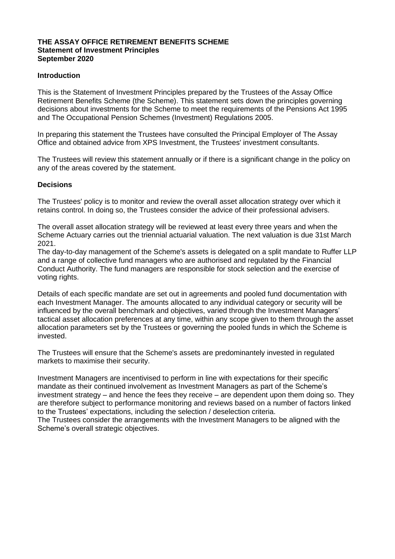#### **THE ASSAY OFFICE RETIREMENT BENEFITS SCHEME Statement of Investment Principles September 2020**

## **Introduction**

This is the Statement of Investment Principles prepared by the Trustees of the Assay Office Retirement Benefits Scheme (the Scheme). This statement sets down the principles governing decisions about investments for the Scheme to meet the requirements of the Pensions Act 1995 and The Occupational Pension Schemes (Investment) Regulations 2005.

In preparing this statement the Trustees have consulted the Principal Employer of The Assay Office and obtained advice from XPS Investment, the Trustees' investment consultants.

The Trustees will review this statement annually or if there is a significant change in the policy on any of the areas covered by the statement.

### **Decisions**

The Trustees' policy is to monitor and review the overall asset allocation strategy over which it retains control. In doing so, the Trustees consider the advice of their professional advisers.

The overall asset allocation strategy will be reviewed at least every three years and when the Scheme Actuary carries out the triennial actuarial valuation. The next valuation is due 31st March 2021.

The day-to-day management of the Scheme's assets is delegated on a split mandate to Ruffer LLP and a range of collective fund managers who are authorised and regulated by the Financial Conduct Authority. The fund managers are responsible for stock selection and the exercise of voting rights.

Details of each specific mandate are set out in agreements and pooled fund documentation with each Investment Manager. The amounts allocated to any individual category or security will be influenced by the overall benchmark and objectives, varied through the Investment Managers' tactical asset allocation preferences at any time, within any scope given to them through the asset allocation parameters set by the Trustees or governing the pooled funds in which the Scheme is invested.

The Trustees will ensure that the Scheme's assets are predominantely invested in regulated markets to maximise their security.

Investment Managers are incentivised to perform in line with expectations for their specific mandate as their continued involvement as Investment Managers as part of the Scheme's investment strategy – and hence the fees they receive – are dependent upon them doing so. They are therefore subject to performance monitoring and reviews based on a number of factors linked to the Trustees' expectations, including the selection / deselection criteria.

The Trustees consider the arrangements with the Investment Managers to be aligned with the Scheme's overall strategic objectives.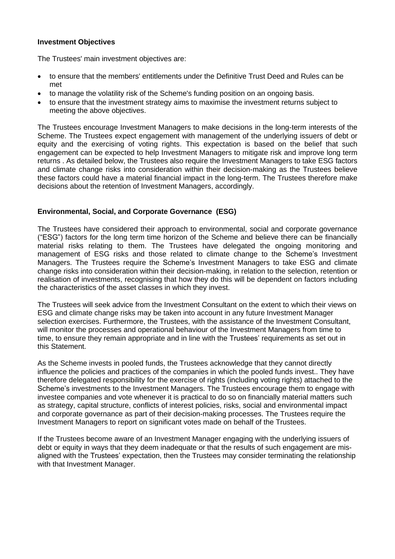## **Investment Objectives**

The Trustees' main investment objectives are:

- to ensure that the members' entitlements under the Definitive Trust Deed and Rules can be met
- to manage the volatility risk of the Scheme's funding position on an ongoing basis.
- to ensure that the investment strategy aims to maximise the investment returns subject to meeting the above objectives.

The Trustees encourage Investment Managers to make decisions in the long-term interests of the Scheme. The Trustees expect engagement with management of the underlying issuers of debt or equity and the exercising of voting rights. This expectation is based on the belief that such engagement can be expected to help Investment Managers to mitigate risk and improve long term returns . As detailed below, the Trustees also require the Investment Managers to take ESG factors and climate change risks into consideration within their decision-making as the Trustees believe these factors could have a material financial impact in the long-term. The Trustees therefore make decisions about the retention of Investment Managers, accordingly.

### **Environmental, Social, and Corporate Governance (ESG)**

The Trustees have considered their approach to environmental, social and corporate governance ("ESG") factors for the long term time horizon of the Scheme and believe there can be financially material risks relating to them. The Trustees have delegated the ongoing monitoring and management of ESG risks and those related to climate change to the Scheme's Investment Managers. The Trustees require the Scheme's Investment Managers to take ESG and climate change risks into consideration within their decision-making, in relation to the selection, retention or realisation of investments, recognising that how they do this will be dependent on factors including the characteristics of the asset classes in which they invest.

The Trustees will seek advice from the Investment Consultant on the extent to which their views on ESG and climate change risks may be taken into account in any future Investment Manager selection exercises. Furthermore, the Trustees, with the assistance of the Investment Consultant, will monitor the processes and operational behaviour of the Investment Managers from time to time, to ensure they remain appropriate and in line with the Trustees' requirements as set out in this Statement.

As the Scheme invests in pooled funds, the Trustees acknowledge that they cannot directly influence the policies and practices of the companies in which the pooled funds invest.. They have therefore delegated responsibility for the exercise of rights (including voting rights) attached to the Scheme's investments to the Investment Managers. The Trustees encourage them to engage with investee companies and vote whenever it is practical to do so on financially material matters such as strategy, capital structure, conflicts of interest policies, risks, social and environmental impact and corporate governance as part of their decision-making processes. The Trustees require the Investment Managers to report on significant votes made on behalf of the Trustees.

If the Trustees become aware of an Investment Manager engaging with the underlying issuers of debt or equity in ways that they deem inadequate or that the results of such engagement are misaligned with the Trustees' expectation, then the Trustees may consider terminating the relationship with that Investment Manager.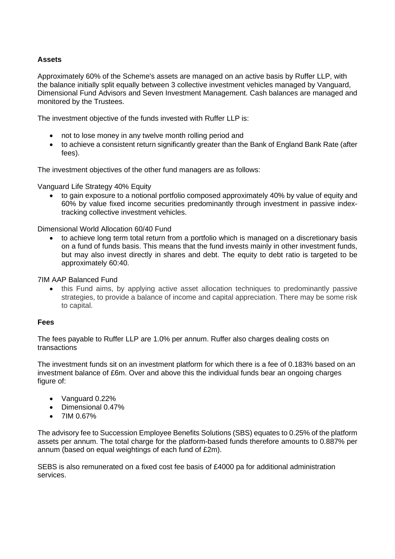# **Assets**

Approximately 60% of the Scheme's assets are managed on an active basis by Ruffer LLP, with the balance initially split equally between 3 collective investment vehicles managed by Vanguard, Dimensional Fund Advisors and Seven Investment Management. Cash balances are managed and monitored by the Trustees.

The investment objective of the funds invested with Ruffer LLP is:

- not to lose money in any twelve month rolling period and
- to achieve a consistent return significantly greater than the Bank of England Bank Rate (after fees).

The investment objectives of the other fund managers are as follows:

Vanguard Life Strategy 40% Equity

• to gain exposure to a notional portfolio composed approximately 40% by value of equity and 60% by value fixed income securities predominantly through investment in passive indextracking collective investment vehicles.

Dimensional World Allocation 60/40 Fund

• to achieve long term total return from a portfolio which is managed on a discretionary basis on a fund of funds basis. This means that the fund invests mainly in other investment funds, but may also invest directly in shares and debt. The equity to debt ratio is targeted to be approximately 60:40.

#### 7IM AAP Balanced Fund

• this Fund aims, by applying active asset allocation techniques to predominantly passive strategies, to provide a balance of income and capital appreciation. There may be some risk to capital.

#### **Fees**

The fees payable to Ruffer LLP are 1.0% per annum. Ruffer also charges dealing costs on transactions

The investment funds sit on an investment platform for which there is a fee of 0.183% based on an investment balance of £6m. Over and above this the individual funds bear an ongoing charges figure of:

- Vanguard 0.22%
- Dimensional 0.47%
- $\bullet$  7IM 0.67%

The advisory fee to Succession Employee Benefits Solutions (SBS) equates to 0.25% of the platform assets per annum. The total charge for the platform-based funds therefore amounts to 0.887% per annum (based on equal weightings of each fund of £2m).

SEBS is also remunerated on a fixed cost fee basis of £4000 pa for additional administration services.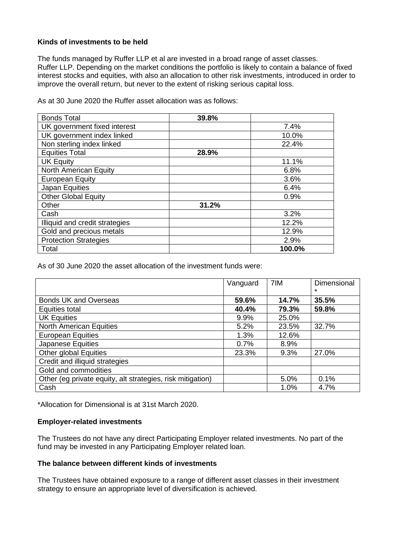## **Kinds of investments to be held**

The funds managed by Ruffer LLP et al are invested in a broad range of asset classes. Ruffer LLP. Depending on the market conditions the portfolio is likely to contain a balance of fixed interest stocks and equities, with also an allocation to other risk investments, introduced in order to improve the overall return, but never to the extent of risking serious capital loss.

As at 30 June 2020 the Ruffer asset allocation was as follows:

| <b>Bonds Total</b>             | 39.8% |        |
|--------------------------------|-------|--------|
| UK government fixed interest   |       | 7.4%   |
| UK government index linked     |       | 10.0%  |
| Non sterling index linked      |       | 22.4%  |
| <b>Equities Total</b>          | 28.9% |        |
| <b>UK Equity</b>               |       | 11.1%  |
| North American Equity          |       | 6.8%   |
| <b>European Equity</b>         |       | 3.6%   |
| Japan Equities                 |       | 6.4%   |
| <b>Other Global Equity</b>     |       | 0.9%   |
| Other                          | 31.2% |        |
| Cash                           |       | 3.2%   |
| Illiquid and credit strategies |       | 12.2%  |
| Gold and precious metals       |       | 12.9%  |
| <b>Protection Strategies</b>   |       | 2.9%   |
| Total                          |       | 100.0% |

As of 30 June 2020 the asset allocation of the investment funds were:

|                                                            | Vanguard | 7IM   | <b>Dimensional</b><br>$\star$ |
|------------------------------------------------------------|----------|-------|-------------------------------|
| <b>Bonds UK and Overseas</b>                               | 59.6%    | 14.7% | 35.5%                         |
| Equities total                                             | 40.4%    | 79.3% | 59.8%                         |
| <b>UK Equities</b>                                         | 9.9%     | 25.0% |                               |
| <b>North American Equities</b>                             | 5.2%     | 23.5% | 32.7%                         |
| <b>European Equities</b>                                   | 1.3%     | 12.6% |                               |
| <b>Japanese Equities</b>                                   | 0.7%     | 8.9%  |                               |
| Other global Equities                                      | 23.3%    | 9.3%  | 27.0%                         |
| Credit and illiquid strategies                             |          |       |                               |
| Gold and commodities                                       |          |       |                               |
| Other (eg private equity, alt strategies, risk mitigation) |          | 5.0%  | 0.1%                          |
| Cash                                                       |          | 1.0%  | 4.7%                          |

\*Allocation for Dimensional is at 31st March 2020.

## **Employer-related investments**

The Trustees do not have any direct Participating Employer related investments. No part of the fund may be invested in any Participating Employer related loan.

# **The balance between different kinds of investments**

The Trustees have obtained exposure to a range of different asset classes in their investment strategy to ensure an appropriate level of diversification is achieved.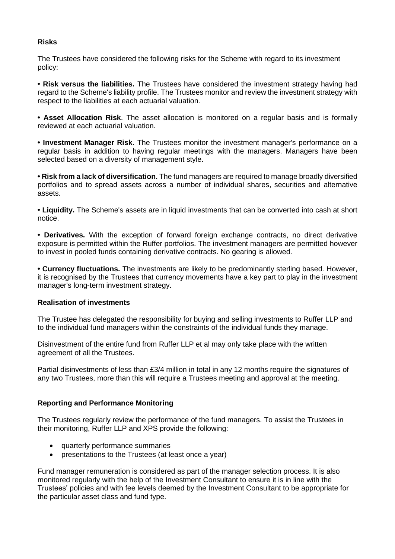# **Risks**

The Trustees have considered the following risks for the Scheme with regard to its investment policy:

**• Risk versus the liabilities.** The Trustees have considered the investment strategy having had regard to the Scheme's liability profile. The Trustees monitor and review the investment strategy with respect to the liabilities at each actuarial valuation.

**• Asset Allocation Risk**. The asset allocation is monitored on a regular basis and is formally reviewed at each actuarial valuation.

**• Investment Manager Risk**. The Trustees monitor the investment manager's performance on a regular basis in addition to having regular meetings with the managers. Managers have been selected based on a diversity of management style.

**• Risk from a lack of diversification.** The fund managers are required to manage broadly diversified portfolios and to spread assets across a number of individual shares, securities and alternative assets.

**• Liquidity.** The Scheme's assets are in liquid investments that can be converted into cash at short notice.

**• Derivatives.** With the exception of forward foreign exchange contracts, no direct derivative exposure is permitted within the Ruffer portfolios. The investment managers are permitted however to invest in pooled funds containing derivative contracts. No gearing is allowed.

**• Currency fluctuations.** The investments are likely to be predominantly sterling based. However, it is recognised by the Trustees that currency movements have a key part to play in the investment manager's long-term investment strategy.

## **Realisation of investments**

The Trustee has delegated the responsibility for buying and selling investments to Ruffer LLP and to the individual fund managers within the constraints of the individual funds they manage.

Disinvestment of the entire fund from Ruffer LLP et al may only take place with the written agreement of all the Trustees.

Partial disinvestments of less than £3/4 million in total in any 12 months require the signatures of any two Trustees, more than this will require a Trustees meeting and approval at the meeting.

## **Reporting and Performance Monitoring**

The Trustees regularly review the performance of the fund managers. To assist the Trustees in their monitoring, Ruffer LLP and XPS provide the following:

- quarterly performance summaries
- presentations to the Trustees (at least once a year)

Fund manager remuneration is considered as part of the manager selection process. It is also monitored regularly with the help of the Investment Consultant to ensure it is in line with the Trustees' policies and with fee levels deemed by the Investment Consultant to be appropriate for the particular asset class and fund type.